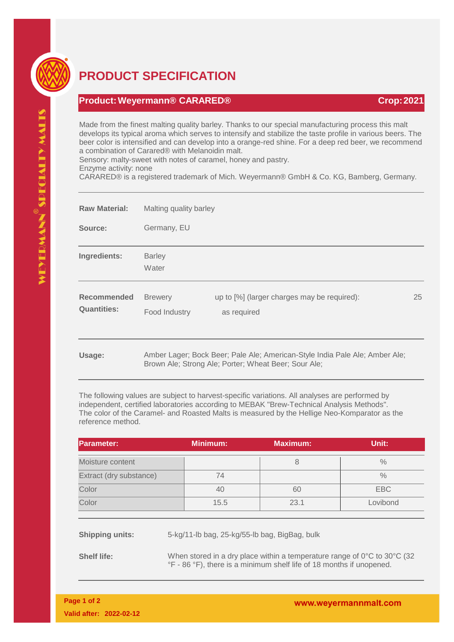

## **PRODUCT SPECIFICATION**

## **Product:Weyermann® CARARED® Crop:2021**

Made from the finest malting quality barley. Thanks to our special manufacturing process this malt develops its typical aroma which serves to intensify and stabilize the taste profile in various beers. The beer color is intensified and can develop into a orange-red shine. For a deep red beer, we recommend a combination of Carared® with Melanoidin malt.

Sensory: malty-sweet with notes of caramel, honey and pastry.

Enzyme activity: none

CARARED® is a registered trademark of Mich. Weyermann® GmbH & Co. KG, Bamberg, Germany.

| <b>Raw Material:</b>                     | Malting quality barley                                                                                                              |                                                            |    |  |
|------------------------------------------|-------------------------------------------------------------------------------------------------------------------------------------|------------------------------------------------------------|----|--|
| Source:                                  | Germany, EU                                                                                                                         |                                                            |    |  |
| Ingredients:                             | <b>Barley</b><br>Water                                                                                                              |                                                            |    |  |
| <b>Recommended</b><br><b>Quantities:</b> | <b>Brewery</b><br>Food Industry                                                                                                     | up to [%] (larger charges may be required):<br>as required | 25 |  |
| Usage:                                   | Amber Lager; Bock Beer; Pale Ale; American-Style India Pale Ale; Amber Ale;<br>Brown Ale; Strong Ale; Porter; Wheat Beer; Sour Ale; |                                                            |    |  |

The following values are subject to harvest-specific variations. All analyses are performed by independent, certified laboratories according to MEBAK "Brew-Technical Analysis Methods". The color of the Caramel- and Roasted Malts is measured by the Hellige Neo-Komparator as the reference method.

| <b>Parameter:</b>       | <b>Minimum:</b> | <b>Maximum:</b> | Unit:         |
|-------------------------|-----------------|-----------------|---------------|
| Moisture content        |                 | 8               | $\frac{0}{0}$ |
| Extract (dry substance) | 74              |                 | $\frac{0}{0}$ |
| Color                   | 40              | 60              | EBC           |
| Color                   | 15.5            | 23.1            | Lovibond      |
|                         |                 |                 |               |

**Shipping units:** 5-kg/11-lb bag, 25-kg/55-lb bag, BigBag, bulk

**Shelf life:** When stored in a dry place within a temperature range of 0°C to 30°C (32) °F - 86 °F), there is a minimum shelf life of 18 months if unopened.